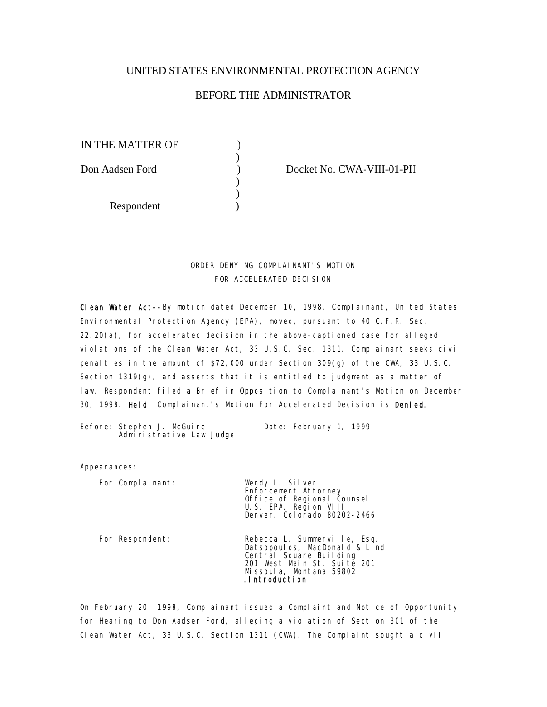## UNITED STATES ENVIRONMENTAL PROTECTION AGENCY

## BEFORE THE ADMINISTRATOR

IN THE MATTER OF  $\qquad \qquad$  )  $\overline{\phantom{a}}$ Don Aadsen Ford ) Docket No. CWA-VIII-01-PII  $\overline{\phantom{a}}$  $\overline{\phantom{a}}$ Respondent (1)

# ORDER DENYING COMPLAINANT'S MOTION FOR ACCELERATED DECISION

Clean Water Act--By motion dated December 10, 1998, Complainant, United States Environmental Protection Agency (EPA), moved, pursuant to 40 C.F.R. Sec. 22.20(a), for accelerated decision in the above-captioned case for alleged violations of the Clean Water Act, 33 U.S.C. Sec. 1311. Complainant seeks civil penal ties in the amount of  $$72,000$  under Section 309(g) of the CWA, 33 U.S.C. Section 1319(g), and asserts that it is entitled to judgment as a matter of law. Respondent filed a Brief in Opposition to Complainant's Motion on December 30, 1998. Held: Complainant's Motion For Accelerated Decision is Denied.

Before: Stephen J. McGuire **Date: February 1, 1999** Administrative Law Judge

Appearances:

For Complainant: Wendy I. Silver

 Enforcement Attorney Office of Regional Counsel U.S. EPA, Region VIII Denver, Colorado 80202-2466

 For Respondent: Rebecca L. Summerville, Esq. Datsopoulos, MacDonald & Lind Central Square Building 201 West Main St. Suite 201 Missoula, Montana 59802 I.Introduction

On February 20, 1998, Complainant issued a Complaint and Notice of Opportunity for Hearing to Don Aadsen Ford, alleging a violation of Section 301 of the Clean Water Act, 33 U.S.C. Section 1311 (CWA). The Complaint sought a civil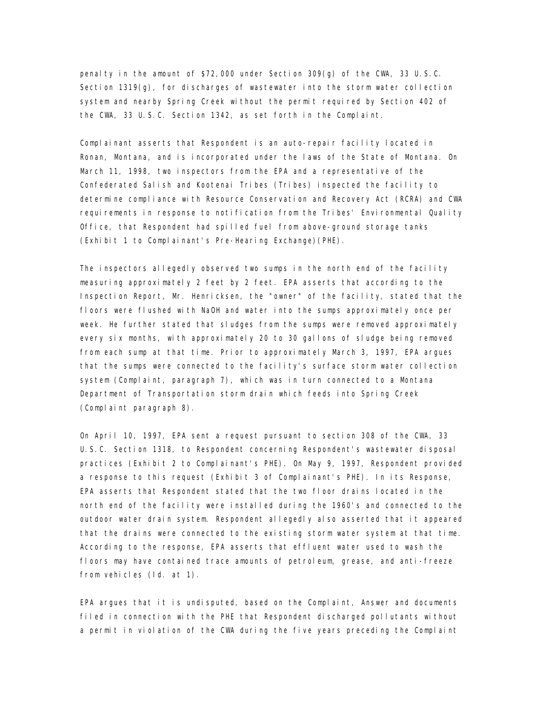penalty in the amount of \$72,000 under Section  $309(g)$  of the CWA, 33 U.S.C. Section 1319(g), for discharges of wastewater into the storm water collection system and nearby Spring Creek without the permit required by Section 402 of the CWA, 33 U.S.C. Section 1342, as set forth in the Complaint.

Complainant asserts that Respondent is an auto-repair facility located in Ronan, Montana, and is incorporated under the laws of the State of Montana. On March 11, 1998, two inspectors from the EPA and a representative of the Confederated Salish and Kootenai Tribes (Tribes) inspected the facility to determine compliance with Resource Conservation and Recovery Act (RCRA) and CWA requirements in response to notification from the Tribes' Environmental Quality Office, that Respondent had spilled fuel from above-ground storage tanks (Exhibit 1 to Complainant's Pre-Hearing Exchange)(PHE).

The inspectors allegedly observed two sumps in the north end of the facility measuring approximately 2 feet by 2 feet. EPA asserts that according to the Inspection Report, Mr. Henricksen, the "owner" of the facility, stated that the floors were flushed with NaOH and water into the sumps approximately once per week. He further stated that sludges from the sumps were removed approximately every six months, with approximately 20 to 30 gallons of sludge being removed from each sump at that time. Prior to approximately March 3, 1997, EPA argues that the sumps were connected to the facility's surface storm water collection system (Complaint, paragraph 7), which was in turn connected to a Montana Department of Transportation storm drain which feeds into Spring Creek (Complaint paragraph 8).

On April 10, 1997, EPA sent a request pursuant to section 308 of the CWA, 33 U.S.C. Section 1318, to Respondent concerning Respondent's wastewater disposal practices (Exhibit 2 to Complainant's PHE). On May 9, 1997, Respondent provided a response to this request (Exhibit 3 of Complainant's PHE). In its Response, EPA asserts that Respondent stated that the two floor drains located in the north end of the facility were installed during the 1960's and connected to the outdoor water drain system. Respondent allegedly also asserted that it appeared that the drains were connected to the existing storm water system at that time. According to the response, EPA asserts that effluent water used to wash the floors may have contained trace amounts of petroleum, grease, and anti-freeze from vehicles (Id. at 1).

EPA argues that it is undisputed, based on the Complaint, Answer and documents filed in connection with the PHE that Respondent discharged pollutants without a permit in violation of the CWA during the five years preceding the Complaint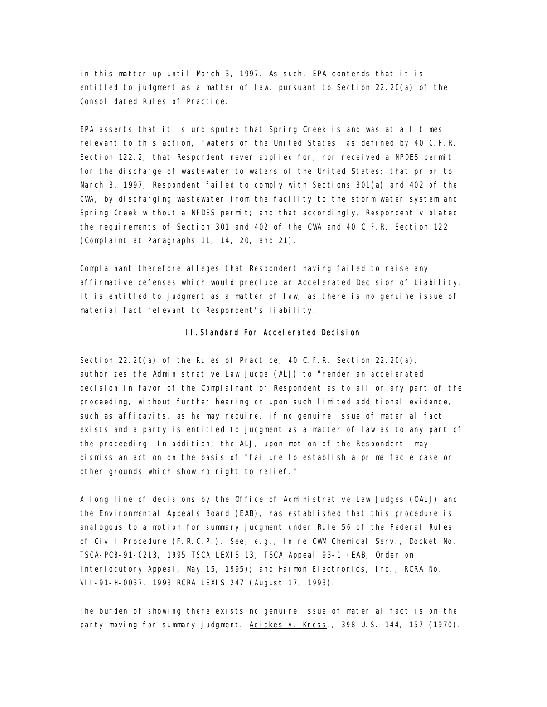in this matter up until March 3, 1997. As such, EPA contends that it is entitled to judgment as a matter of law, pursuant to Section 22.20(a) of the Consolidated Rules of Practice.

EPA asserts that it is undisputed that Spring Creek is and was at all times relevant to this action, "waters of the United States" as defined by 40 C.F.R. Section 122.2; that Respondent never applied for, nor received a NPDES permit for the discharge of wastewater to waters of the United States; that prior to March 3, 1997, Respondent failed to comply with Sections 301(a) and 402 of the CWA, by discharging wastewater from the facility to the storm water system and Spring Creek without a NPDES permit; and that accordingly, Respondent violated the requirements of Section 301 and 402 of the CWA and 40 C.F.R. Section 122 (Complaint at Paragraphs 11, 14, 20, and 21).

Complainant therefore alleges that Respondent having failed to raise any affirmative defenses which would preclude an Accelerated Decision of Liability, it is entitled to judgment as a matter of law, as there is no genuine issue of material fact relevant to Respondent's liability.

#### II.Standard For Accelerated Decision

Section 22.20 $(a)$  of the Rules of Practice, 40 C.F.R. Section 22.20 $(a)$ , authorizes the Administrative Law Judge (ALJ) to "render an accelerated decision in favor of the Complainant or Respondent as to all or any part of the proceeding, without further hearing or upon such limited additional evidence, such as affidavits, as he may require, if no genuine issue of material fact exists and a party is entitled to judgment as a matter of law as to any part of the proceeding. In addition, the ALJ, upon motion of the Respondent, may dismiss an action on the basis of "failure to establish a prima facie case or other grounds which show no right to relief."

A long line of decisions by the Office of Administrative Law Judges (OALJ) and the Environmental Appeals Board (EAB), has established that this procedure is analogous to a motion for summary judgment under Rule 56 of the Federal Rules of Civil Procedure (F.R.C.P.). See, e.g., In re CWM Chemical Serv., Docket No. TSCA-PCB-91-0213, 1995 TSCA LEXIS 13, TSCA Appeal 93-1 (EAB, Order on Interlocutory Appeal, May 15, 1995); and Harmon Electronics, Inc., RCRA No. VII-91-H-0037, 1993 RCRA LEXIS 247 (August 17, 1993).

The burden of showing there exists no genuine issue of material fact is on the party moving for summary judgment. Adickes v. Kress., 398 U.S. 144, 157 (1970).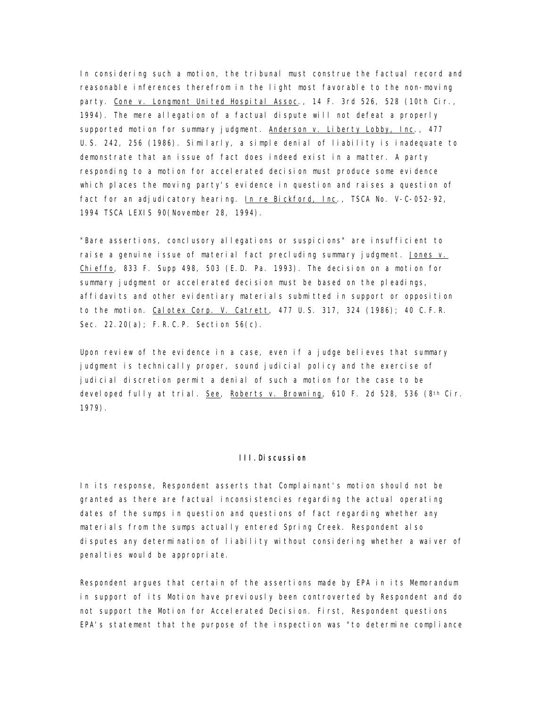In considering such a motion, the tribunal must construe the factual record and reasonable inferences therefrom in the light most favorable to the non-moving party. Cone v. Longmont United Hospital Assoc., 14 F. 3rd 526, 528 (10th Cir., 1994). The mere allegation of a factual dispute will not defeat a properly supported motion for summary judgment. Anderson v. Liberty Lobby, Inc., 477 U.S. 242, 256 (1986). Similarly, a simple denial of liability is inadequate to demonstrate that an issue of fact does indeed exist in a matter. A party responding to a motion for accelerated decision must produce some evidence which places the moving party's evidence in question and raises a question of fact for an adjudicatory hearing. In re Bickford, Inc., TSCA No. V-C-052-92, 1994 TSCA LEXIS 90(November 28, 1994).

"Bare assertions, conclusory allegations or suspicions" are insufficient to raise a genuine issue of material fact precluding summary judgment. Jones v. Chieffo, 833 F. Supp 498, 503 (E.D. Pa. 1993). The decision on a motion for summary judgment or accelerated decision must be based on the pleadings, affidavits and other evidentiary materials submitted in support or opposition to the motion. Calotex Corp. V. Catrett, 477 U.S. 317, 324 (1986); 40 C.F.R. Sec. 22.20(a); F.R.C.P. Section 56(c).

Upon review of the evidence in a case, even if a judge believes that summary judgment is technically proper, sound judicial policy and the exercise of judicial discretion permit a denial of such a motion for the case to be developed fully at trial. See, Roberts v. Browning, 610 F. 2d 528, 536 (8th Cir. 1979).

### III.Discussion

In its response, Respondent asserts that Complainant's motion should not be granted as there are factual inconsistencies regarding the actual operating dates of the sumps in question and questions of fact regarding whether any materials from the sumps actually entered Spring Creek. Respondent also disputes any determination of liability without considering whether a waiver of penalties would be appropriate.

Respondent argues that certain of the assertions made by EPA in its Memorandum in support of its Motion have previously been controverted by Respondent and do not support the Motion for Accelerated Decision. First, Respondent questions EPA's statement that the purpose of the inspection was "to determine compliance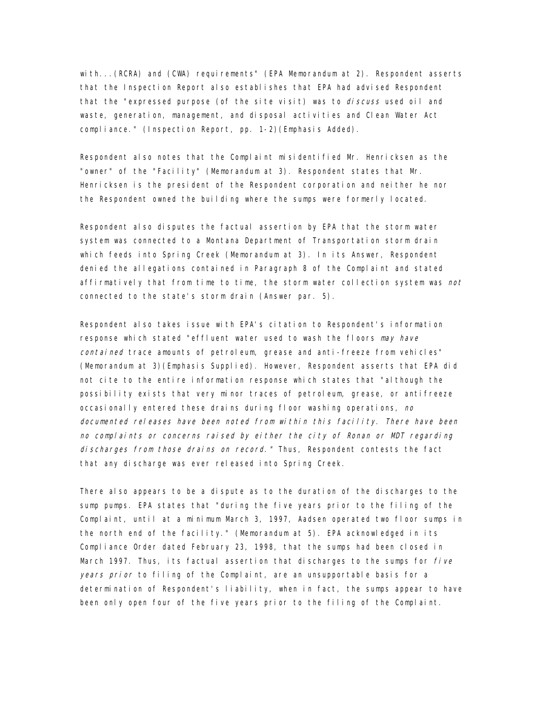with...(RCRA) and (CWA) requirements" (EPA Memorandum at 2). Respondent asserts that the Inspection Report also establishes that EPA had advised Respondent that the "expressed purpose (of the site visit) was to *discuss* used oil and waste, generation, management, and disposal activities and Clean Water Act compliance." (Inspection Report, pp. 1-2)(Emphasis Added).

Respondent also notes that the Complaint misidentified Mr. Henricksen as the "owner" of the "Facility" (Memorandum at 3). Respondent states that Mr. Henricksen is the president of the Respondent corporation and neither he nor the Respondent owned the building where the sumps were formerly located.

Respondent also disputes the factual assertion by EPA that the storm water system was connected to a Montana Department of Transportation storm drain which feeds into Spring Creek (Memorandum at 3). In its Answer, Respondent denied the allegations contained in Paragraph 8 of the Complaint and stated affirmatively that from time to time, the storm water collection system was *not* connected to the state's storm drain (Answer par. 5).

Respondent also takes issue with EPA's citation to Respondent's information response which stated "effluent water used to wash the floors may have contained trace amounts of petroleum, grease and anti-freeze from vehicles" (Memorandum at 3)(Emphasis Supplied). However, Respondent asserts that EPA did not cite to the entire information response which states that "although the possibility exists that very minor traces of petroleum, grease, or antifreeze occasionally entered these drains during floor washing operations, no documented releases have been noted from within this facility. There have been no complaints or concerns raised by either the city of Ronan or MDT regarding discharges from those drains on record." Thus, Respondent contests the fact that any discharge was ever released into Spring Creek.

There also appears to be a dispute as to the duration of the discharges to the sump pumps. EPA states that "during the five years prior to the filing of the Complaint, until at a minimum March 3, 1997, Aadsen operated two floor sumps in the north end of the facility." (Memorandum at 5). EPA acknowledged in its Compliance Order dated February 23, 1998, that the sumps had been closed in March 1997. Thus, its factual assertion that discharges to the sumps for  $five$ years prior to filing of the Complaint, are an unsupportable basis for a determination of Respondent's liability, when in fact, the sumps appear to have been only open four of the five years prior to the filing of the Complaint.